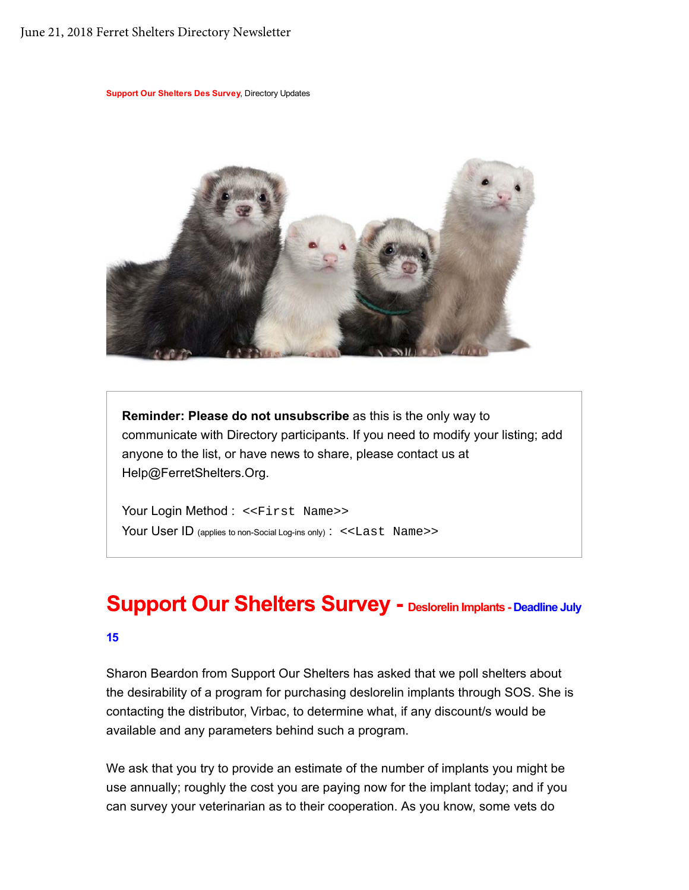### June 21, 2018 Ferret Shelters Directory Newsletter

**Support Our Shelters Des Survey**, Directory Updates



**Reminder: Please do not unsubscribe** as this is the only way to communicate with Directory participants. If you need to modify your listing; add anyone to the list, or have news to share, please contact us at Help@FerretShelters.Org.

Your Login Method : << First Name>> Your User ID (applies to non-Social Log-ins only) : <<Last Name>>

## **Support Our Shelters Survey - Deslorelin Implants - Deadline July**

#### **15**

Sharon Beardon from Support Our Shelters has asked that we poll shelters about the desirability of a program for purchasing deslorelin implants through SOS. She is contacting the distributor, Virbac, to determine what, if any discount/s would be available and any parameters behind such a program.

We ask that you try to provide an estimate of the number of implants you might be use annually; roughly the cost you are paying now for the implant today; and if you can survey your veterinarian as to their cooperation. As you know, some vets do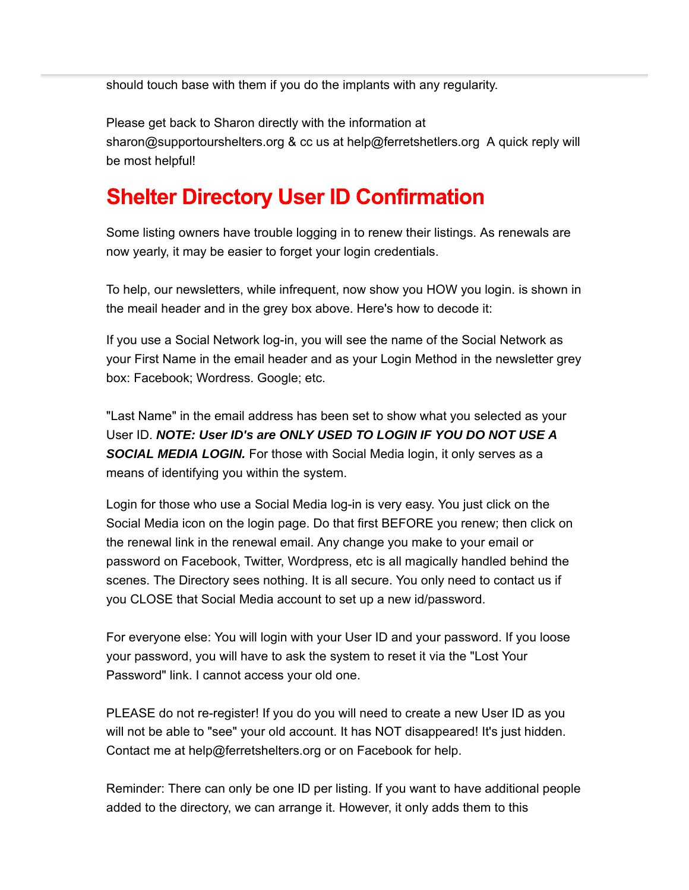should touch base with them if you do the implants with any regularity.

Please get back to Sharon directly with the information at sharon@supportourshelters.org & cc us at help@ferretshetlers.org A quick reply will be most helpful!

## **Shelter Directory User ID Confirmation**

Some listing owners have trouble logging in to renew their listings. As renewals are now yearly, it may be easier to forget your login credentials.

To help, our newsletters, while infrequent, now show you HOW you login. is shown in the meail header and in the grey box above. Here's how to decode it:

If you use a Social Network log-in, you will see the name of the Social Network as your First Name in the email header and as your Login Method in the newsletter grey box: Facebook; Wordress. Google; etc.

"Last Name" in the email address has been set to show what you selected as your User ID. *NOTE: User ID's are ONLY USED TO LOGIN IF YOU DO NOT USE A SOCIAL MEDIA LOGIN.* For those with Social Media login, it only serves as a means of identifying you within the system.

Login for those who use a Social Media log-in is very easy. You just click on the Social Media icon on the login page. Do that first BEFORE you renew; then click on the renewal link in the renewal email. Any change you make to your email or password on Facebook, Twitter, Wordpress, etc is all magically handled behind the scenes. The Directory sees nothing. It is all secure. You only need to contact us if you CLOSE that Social Media account to set up a new id/password.

For everyone else: You will login with your User ID and your password. If you loose your password, you will have to ask the system to reset it via the "Lost Your Password" link. I cannot access your old one.

PLEASE do not re-register! If you do you will need to create a new User ID as you will not be able to "see" your old account. It has NOT disappeared! It's just hidden. Contact me at help@ferretshelters.org or on Facebook for help.

Reminder: There can only be one ID per listing. If you want to have additional people added to the directory, we can arrange it. However, it only adds them to this